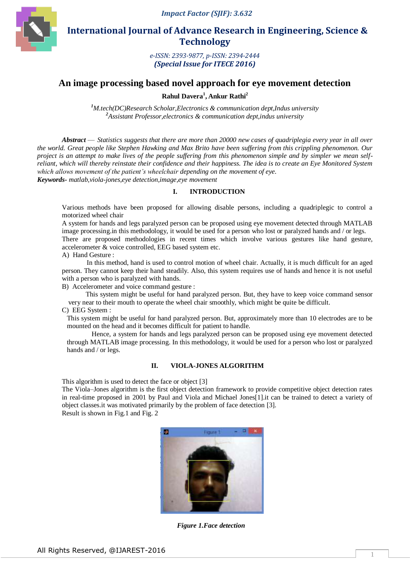

 **International Journal of Advance Research in Engineering, Science & Technology** 

> *e-ISSN: 2393-9877, p-ISSN: 2394-2444 (Special Issue for ITECE 2016)*

# **An image processing based novel approach for eye movement detection**

**Rahul Davera<sup>1</sup> , Ankur Rathi<sup>2</sup>**

*<sup>1</sup>M.tech(DC)Research Scholar,Electronics & communication dept,Indus university <sup>2</sup>Assistant Professor,electronics & communication dept,indus university*

*Abstract* — *Statistics suggests that there are more than 20000 new cases of quadriplegia every year in all over the world. Great people like Stephen Hawking and Max Brito have been suffering from this crippling phenomenon. Our project is an attempt to make lives of the people suffering from this phenomenon simple and by simpler we mean selfreliant, which will thereby reinstate their confidence and their happiness. The idea is to create an Eye Monitored System which allows movement of the patient's wheelchair depending on the movement of eye.*

*Keywords- matlab,viola-jones,eye detection,image,eye movement*

### **I. INTRODUCTION**

Various methods have been proposed for allowing disable persons, including a quadriplegic to control a motorized wheel chair

A system for hands and legs paralyzed person can be proposed using eye movement detected through MATLAB image processing.in this methodology, it would be used for a person who lost or paralyzed hands and / or legs.

There are proposed methodologies in recent times which involve various gestures like hand gesture, accelerometer & voice controlled, EEG based system etc.

A) Hand Gesture :

In this method, hand is used to control motion of wheel chair. Actually, it is much difficult for an aged person. They cannot keep their hand steadily. Also, this system requires use of hands and hence it is not useful with a person who is paralyzed with hands.

B) Accelerometer and voice command gesture :

 This system might be useful for hand paralyzed person. But, they have to keep voice command sensor very near to their mouth to operate the wheel chair smoothly, which might be quite be difficult.

C) EEG System :

This system might be useful for hand paralyzed person. But, approximately more than 10 electrodes are to be mounted on the head and it becomes difficult for patient to handle.

Hence, a system for hands and legs paralyzed person can be proposed using eye movement detected through MATLAB image processing. In this methodology, it would be used for a person who lost or paralyzed hands and / or legs.

### **II. VIOLA-JONES ALGORITHM**

This algorithm is used to detect the face or object [3]

The Viola–Jones algorithm is the first object detection framework to provide competitive object detection rates in real-time proposed in 2001 by Paul and Viola and Michael Jones[1].it can be trained to detect a variety of object classes.it was motivated primarily by the problem of face detection [3].

Result is shown in Fig.1 and Fig. 2



*Figure 1.Face detection*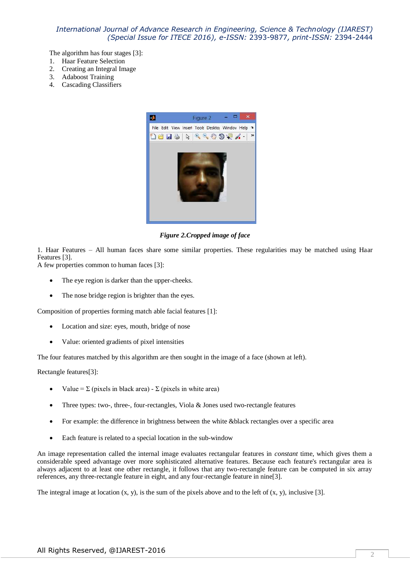The algorithm has four stages [3]:

- 1. Haar Feature Selection
- 2. Creating an Integral Image
- 3. Adaboost Training
- 4. Cascading Classifiers



*Figure 2.Cropped image of face*

1. Haar Features – All human faces share some similar properties. These regularities may be matched using Haar Features [3].

A few properties common to human faces [3]:

- The eye region is darker than the upper-cheeks.
- The nose bridge region is brighter than the eyes.

Composition of properties forming match able facial features [1]:

- Location and size: eyes, mouth, bridge of nose
- Value: oriented gradients of pixel intensities

The four features matched by this algorithm are then sought in the image of a face (shown at left).

Rectangle features[3]:

- Value =  $\Sigma$  (pixels in black area)  $\Sigma$  (pixels in white area)
- Three types: two-, three-, four-rectangles, Viola & Jones used two-rectangle features
- For example: the difference in brightness between the white &black rectangles over a specific area
- Each feature is related to a special location in the sub-window

An image representation called the internal image evaluates rectangular features in *constant* time, which gives them a considerable speed advantage over more sophisticated alternative features. Because each feature's rectangular area is always adjacent to at least one other rectangle, it follows that any two-rectangle feature can be computed in six array references, any three-rectangle feature in eight, and any four-rectangle feature in nine[3].

The integral image at location  $(x, y)$ , is the sum of the pixels above and to the left of  $(x, y)$ , inclusive [3].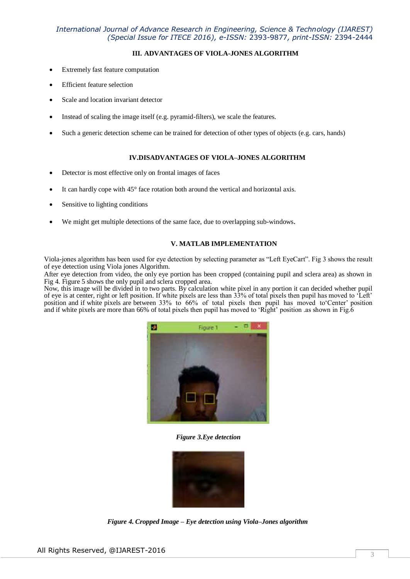# **III. ADVANTAGES OF VIOLA-JONES ALGORITHM**

- Extremely fast feature computation
- Efficient feature selection
- Scale and location invariant detector
- Instead of scaling the image itself (e.g. pyramid-filters), we scale the features.
- Such a generic detection scheme can be trained for detection of other types of objects (e.g. cars, hands)

#### **IV.DISADVANTAGES OF VIOLA–JONES ALGORITHM**

- Detector is most effective only on frontal images of faces
- It can hardly cope with 45° face rotation both around the vertical and horizontal axis.
- Sensitive to lighting conditions
- We might get multiple detections of the same face, due to overlapping sub-windows.

### **V. MATLAB IMPLEMENTATION**

Viola-jones algorithm has been used for eye detection by selecting parameter as "Left EyeCart". Fig 3 shows the result of eye detection using Viola jones Algorithm.

After eye detection from video, the only eye portion has been cropped (containing pupil and sclera area) as shown in Fig 4. Figure 5 shows the only pupil and sclera cropped area.

Now, this image will be divided in to two parts. By calculation white pixel in any portion it can decided whether pupil of eye is at center, right or left position. If white pixels are less than 33% of total pixels then pupil has moved to 'Left' position and if white pixels are between 33% to 66% of total pixels then pupil has moved to Center' position and if white pixels are more than 66% of total pixels then pupil has moved to 'Right' position .as shown in Fig.6



*Figure 3.Eye detection*



*Figure 4. Cropped Image – Eye detection using Viola–Jones algorithm*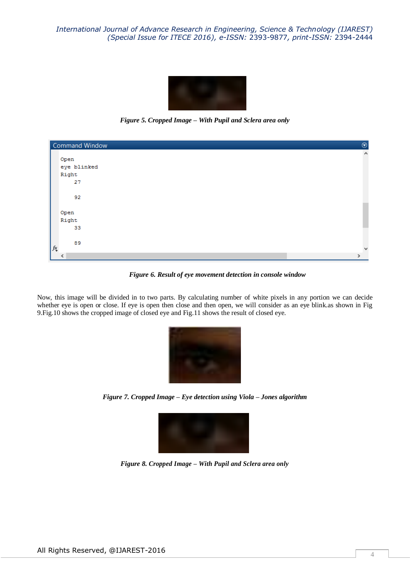

*Figure 5. Cropped Image – With Pupil and Sclera area only*

| <b>Command Window</b> | $\odot$               |
|-----------------------|-----------------------|
|                       | $\boldsymbol{\wedge}$ |
| Open                  |                       |
| eye blinked           |                       |
| Right                 |                       |
| 27                    |                       |
|                       |                       |
| 92                    |                       |
|                       |                       |
| Open                  |                       |
| Right                 |                       |
| 33                    |                       |
|                       |                       |
| 89                    |                       |
| $f_{\frac{\chi}{2}}$  | $\mathbf{v}$          |
| ∢                     | $\rightarrow$         |

*Figure 6. Result of eye movement detection in console window*

Now, this image will be divided in to two parts. By calculating number of white pixels in any portion we can decide whether eye is open or close. If eye is open then close and then open, we will consider as an eye blink.as shown in Fig 9.Fig.10 shows the cropped image of closed eye and Fig.11 shows the result of closed eye.



*Figure 7. Cropped Image – Eye detection using Viola – Jones algorithm*



*Figure 8. Cropped Image – With Pupil and Sclera area only*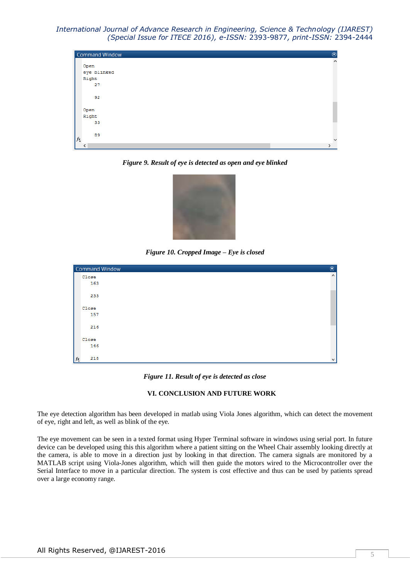|    | $^{\circ}$<br><b>Command Window</b> |                       |  |
|----|-------------------------------------|-----------------------|--|
|    |                                     | $\boldsymbol{\wedge}$ |  |
|    | Open                                |                       |  |
|    | eye blinked                         |                       |  |
|    | Right                               |                       |  |
|    | 27                                  |                       |  |
|    |                                     |                       |  |
|    | 92                                  |                       |  |
|    |                                     |                       |  |
|    | Open                                |                       |  |
|    | Right                               |                       |  |
|    | 33                                  |                       |  |
|    |                                     |                       |  |
|    | 89                                  |                       |  |
| fx |                                     | v                     |  |
|    | ≺                                   | >                     |  |

*Figure 9. Result of eye is detected as open and eye blinked*



*Figure 10. Cropped Image – Eye is closed*

| Command Window<br>$\odot$ |                       |  |
|---------------------------|-----------------------|--|
| Close                     | $\boldsymbol{\wedge}$ |  |
| 163                       |                       |  |
| 233                       |                       |  |
| Close                     |                       |  |
| 157                       |                       |  |
| 216                       |                       |  |
| Close                     |                       |  |
| 146                       |                       |  |
| 218<br>$f_{\frac{x}{2}}$  | $\checkmark$          |  |

*Figure 11. Result of eye is detected as close*

#### **VI. CONCLUSION AND FUTURE WORK**

The eye detection algorithm has been developed in matlab using Viola Jones algorithm, which can detect the movement of eye, right and left, as well as blink of the eye.

The eye movement can be seen in a texted format using Hyper Terminal software in windows using serial port. In future device can be developed using this this algorithm where a patient sitting on the Wheel Chair assembly looking directly at the camera, is able to move in a direction just by looking in that direction. The camera signals are monitored by a MATLAB script using Viola-Jones algorithm, which will then guide the motors wired to the Microcontroller over the Serial Interface to move in a particular direction. The system is cost effective and thus can be used by patients spread over a large economy range.